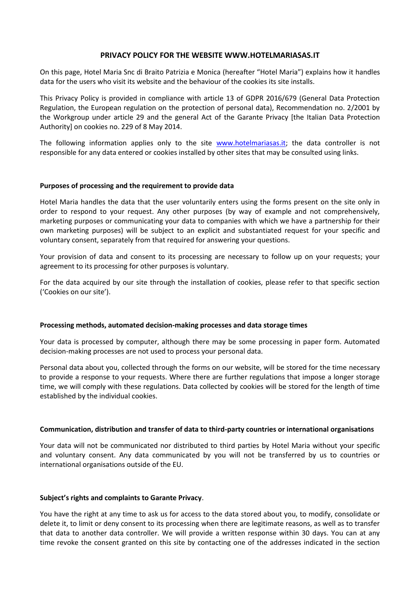## **PRIVACY POLICY FOR THE WEBSITE WWW.HOTELMARIASAS.IT**

On this page, Hotel Maria Snc di Braito Patrizia e Monica (hereafter "Hotel Maria") explains how it handles data for the users who visit its website and the behaviour of the cookies its site installs.

This Privacy Policy is provided in compliance with article 13 of GDPR 2016/679 (General Data Protection Regulation, the European regulation on the protection of personal data), Recommendation no. 2/2001 by the Workgroup under article 29 and the general Act of the Garante Privacy [the Italian Data Protection Authority] on cookies no. 229 of 8 May 2014.

The following information applies only to the site [www.hotelmariasas.it;](http://www.hotelmariasas.it/) the data controller is not responsible for any data entered or cookies installed by other sites that may be consulted using links.

## **Purposes of processing and the requirement to provide data**

Hotel Maria handles the data that the user voluntarily enters using the forms present on the site only in order to respond to your request. Any other purposes (by way of example and not comprehensively, marketing purposes or communicating your data to companies with which we have a partnership for their own marketing purposes) will be subject to an explicit and substantiated request for your specific and voluntary consent, separately from that required for answering your questions.

Your provision of data and consent to its processing are necessary to follow up on your requests; your agreement to its processing for other purposes is voluntary.

For the data acquired by our site through the installation of cookies, please refer to that specific section ('Cookies on our site').

#### **Processing methods, automated decision-making processes and data storage times**

Your data is processed by computer, although there may be some processing in paper form. Automated decision-making processes are not used to process your personal data.

Personal data about you, collected through the forms on our website, will be stored for the time necessary to provide a response to your requests. Where there are further regulations that impose a longer storage time, we will comply with these regulations. Data collected by cookies will be stored for the length of time established by the individual cookies.

#### **Communication, distribution and transfer of data to third-party countries or international organisations**

Your data will not be communicated nor distributed to third parties by Hotel Maria without your specific and voluntary consent. Any data communicated by you will not be transferred by us to countries or international organisations outside of the EU.

#### **Subject's rights and complaints to Garante Privacy**.

You have the right at any time to ask us for access to the data stored about you, to modify, consolidate or delete it, to limit or deny consent to its processing when there are legitimate reasons, as well as to transfer that data to another data controller. We will provide a written response within 30 days. You can at any time revoke the consent granted on this site by contacting one of the addresses indicated in the section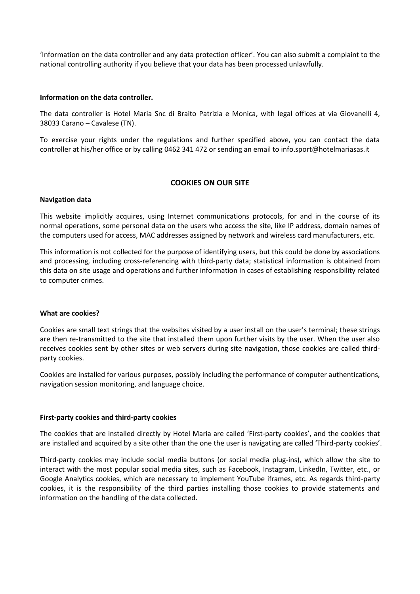'Information on the data controller and any data protection officer'. You can also submit a complaint to the national controlling authority if you believe that your data has been processed unlawfully.

## **Information on the data controller.**

The data controller is Hotel Maria Snc di Braito Patrizia e Monica, with legal offices at via Giovanelli 4, 38033 Carano – Cavalese (TN).

To exercise your rights under the regulations and further specified above, you can contact the data controller at his/her office or by calling 0462 341 472 or sending an email to info.sport@hotelmariasas.it

## **COOKIES ON OUR SITE**

## **Navigation data**

This website implicitly acquires, using Internet communications protocols, for and in the course of its normal operations, some personal data on the users who access the site, like IP address, domain names of the computers used for access, MAC addresses assigned by network and wireless card manufacturers, etc.

This information is not collected for the purpose of identifying users, but this could be done by associations and processing, including cross-referencing with third-party data; statistical information is obtained from this data on site usage and operations and further information in cases of establishing responsibility related to computer crimes.

#### **What are cookies?**

Cookies are small text strings that the websites visited by a user install on the user's terminal; these strings are then re-transmitted to the site that installed them upon further visits by the user. When the user also receives cookies sent by other sites or web servers during site navigation, those cookies are called thirdparty cookies.

Cookies are installed for various purposes, possibly including the performance of computer authentications, navigation session monitoring, and language choice.

#### **First-party cookies and third-party cookies**

The cookies that are installed directly by Hotel Maria are called 'First-party cookies', and the cookies that are installed and acquired by a site other than the one the user is navigating are called 'Third-party cookies'.

Third-party cookies may include social media buttons (or social media plug-ins), which allow the site to interact with the most popular social media sites, such as Facebook, Instagram, LinkedIn, Twitter, etc., or Google Analytics cookies, which are necessary to implement YouTube iframes, etc. As regards third-party cookies, it is the responsibility of the third parties installing those cookies to provide statements and information on the handling of the data collected.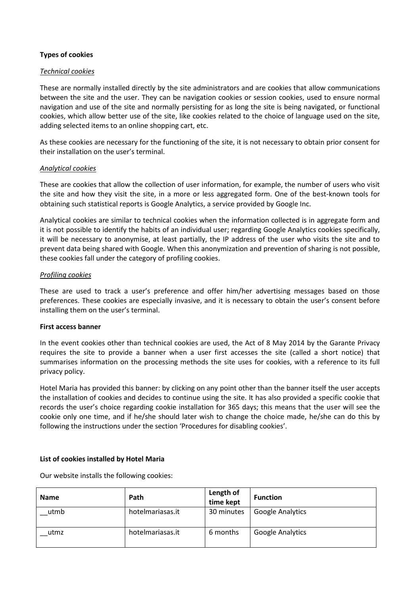# **Types of cookies**

## *Technical cookies*

These are normally installed directly by the site administrators and are cookies that allow communications between the site and the user. They can be navigation cookies or session cookies, used to ensure normal navigation and use of the site and normally persisting for as long the site is being navigated, or functional cookies, which allow better use of the site, like cookies related to the choice of language used on the site, adding selected items to an online shopping cart, etc.

As these cookies are necessary for the functioning of the site, it is not necessary to obtain prior consent for their installation on the user's terminal.

## *Analytical cookies*

These are cookies that allow the collection of user information, for example, the number of users who visit the site and how they visit the site, in a more or less aggregated form. One of the best-known tools for obtaining such statistical reports is Google Analytics, a service provided by Google Inc.

Analytical cookies are similar to technical cookies when the information collected is in aggregate form and it is not possible to identify the habits of an individual user; regarding Google Analytics cookies specifically, it will be necessary to anonymise, at least partially, the IP address of the user who visits the site and to prevent data being shared with Google. When this anonymization and prevention of sharing is not possible, these cookies fall under the category of profiling cookies.

## *Profiling cookies*

These are used to track a user's preference and offer him/her advertising messages based on those preferences. These cookies are especially invasive, and it is necessary to obtain the user's consent before installing them on the user's terminal.

#### **First access banner**

In the event cookies other than technical cookies are used, the Act of 8 May 2014 by the Garante Privacy requires the site to provide a banner when a user first accesses the site (called a short notice) that summarises information on the processing methods the site uses for cookies, with a reference to its full privacy policy.

Hotel Maria has provided this banner: by clicking on any point other than the banner itself the user accepts the installation of cookies and decides to continue using the site. It has also provided a specific cookie that records the user's choice regarding cookie installation for 365 days; this means that the user will see the cookie only one time, and if he/she should later wish to change the choice made, he/she can do this by following the instructions under the section 'Procedures for disabling cookies'.

## **List of cookies installed by Hotel Maria**

Our website installs the following cookies:

| <b>Name</b> | Path             | Length of<br>time kept | <b>Function</b>         |
|-------------|------------------|------------------------|-------------------------|
| utmb        | hotelmariasas.it | 30 minutes             | <b>Google Analytics</b> |
| utmz        | hotelmariasas.it | 6 months               | Google Analytics        |